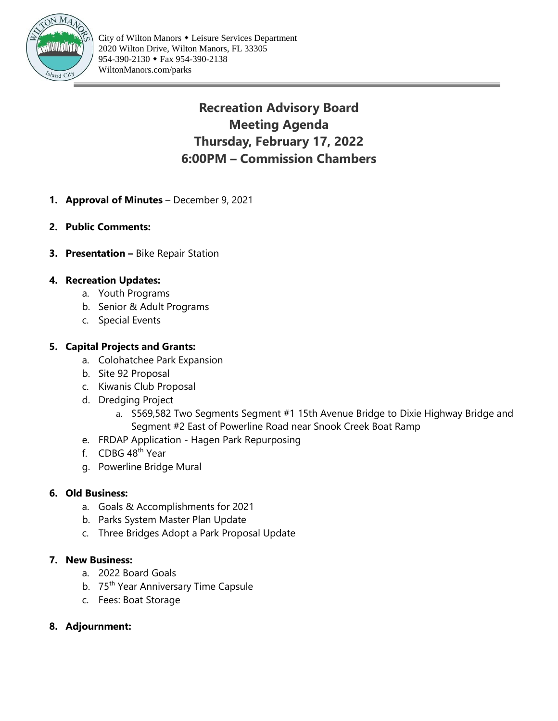

# **Recreation Advisory Board Meeting Agenda Thursday, February 17, 2022 6:00PM – Commission Chambers**

- **1. Approval of Minutes** December 9, 2021
- **2. Public Comments:**
- **3.** Presentation Bike Repair Station

#### **4. Recreation Updates:**

- a. Youth Programs
- b. Senior & Adult Programs
- c. Special Events

#### **5. Capital Projects and Grants:**

- a. Colohatchee Park Expansion
- b. Site 92 Proposal
- c. Kiwanis Club Proposal
- d. Dredging Project
	- a. \$569,582 Two Segments Segment #1 15th Avenue Bridge to Dixie Highway Bridge and Segment #2 East of Powerline Road near Snook Creek Boat Ramp
- e. FRDAP Application Hagen Park Repurposing
- f. CDBG 48th Year
- g. Powerline Bridge Mural

#### **6. Old Business:**

- a. Goals & Accomplishments for 2021
- b. Parks System Master Plan Update
- c. Three Bridges Adopt a Park Proposal Update

#### **7. New Business:**

- a. 2022 Board Goals
- b. 75<sup>th</sup> Year Anniversary Time Capsule
- c. Fees: Boat Storage
- **8. Adjournment:**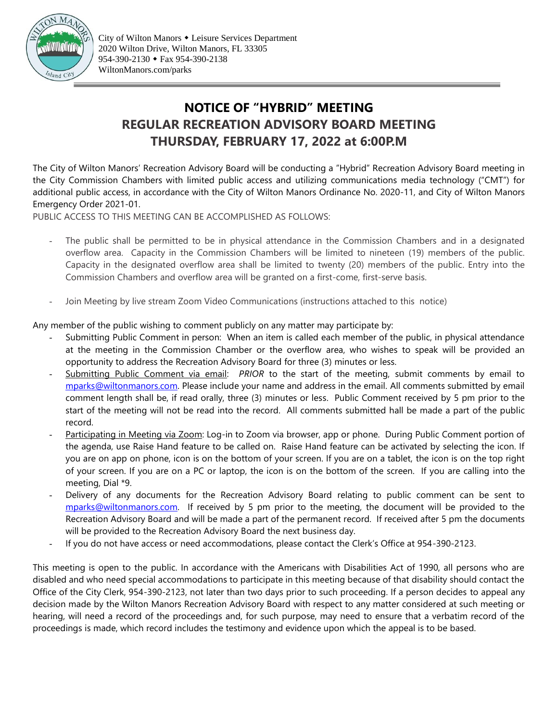

# **NOTICE OF "HYBRID" MEETING REGULAR RECREATION ADVISORY BOARD MEETING THURSDAY, FEBRUARY 17, 2022 at 6:00P.M**

The City of Wilton Manors' Recreation Advisory Board will be conducting a "Hybrid" Recreation Advisory Board meeting in the City Commission Chambers with limited public access and utilizing communications media technology ("CMT") for additional public access, in accordance with the City of Wilton Manors Ordinance No. 2020-11, and City of Wilton Manors Emergency Order 2021-01.

PUBLIC ACCESS TO THIS MEETING CAN BE ACCOMPLISHED AS FOLLOWS:

- The public shall be permitted to be in physical attendance in the Commission Chambers and in a designated overflow area. Capacity in the Commission Chambers will be limited to nineteen (19) members of the public. Capacity in the designated overflow area shall be limited to twenty (20) members of the public. Entry into the Commission Chambers and overflow area will be granted on a first-come, first-serve basis.
- Join Meeting by live stream Zoom Video Communications (instructions attached to this notice)

Any member of the public wishing to comment publicly on any matter may participate by:

- Submitting Public Comment in person: When an item is called each member of the public, in physical attendance at the meeting in the Commission Chamber or the overflow area, who wishes to speak will be provided an opportunity to address the Recreation Advisory Board for three (3) minutes or less.
- Submitting Public Comment via email: *PRIOR* to the start of the meeting, submit comments by email to [mparks@wiltonmanors.com.](mailto:mparks@wiltonmanors.com) Please include your name and address in the email. All comments submitted by email comment length shall be, if read orally, three (3) minutes or less. Public Comment received by 5 pm prior to the start of the meeting will not be read into the record. All comments submitted hall be made a part of the public record.
- Participating in Meeting via Zoom: Log-in to Zoom via browser, app or phone. During Public Comment portion of the agenda, use Raise Hand feature to be called on. Raise Hand feature can be activated by selecting the icon. If you are on app on phone, icon is on the bottom of your screen. If you are on a tablet, the icon is on the top right of your screen. If you are on a PC or laptop, the icon is on the bottom of the screen. If you are calling into the meeting, Dial \*9.
- Delivery of any documents for the Recreation Advisory Board relating to public comment can be sent to [mparks@wiltonmanors.com.](mailto:mparks@wiltonmanors.com) If received by 5 pm prior to the meeting, the document will be provided to the Recreation Advisory Board and will be made a part of the permanent record. If received after 5 pm the documents will be provided to the Recreation Advisory Board the next business day.
- If you do not have access or need accommodations, please contact the Clerk's Office at 954-390-2123.

This meeting is open to the public. In accordance with the Americans with Disabilities Act of 1990, all persons who are disabled and who need special accommodations to participate in this meeting because of that disability should contact the Office of the City Clerk, 954-390-2123, not later than two days prior to such proceeding. If a person decides to appeal any decision made by the Wilton Manors Recreation Advisory Board with respect to any matter considered at such meeting or hearing, will need a record of the proceedings and, for such purpose, may need to ensure that a verbatim record of the proceedings is made, which record includes the testimony and evidence upon which the appeal is to be based.